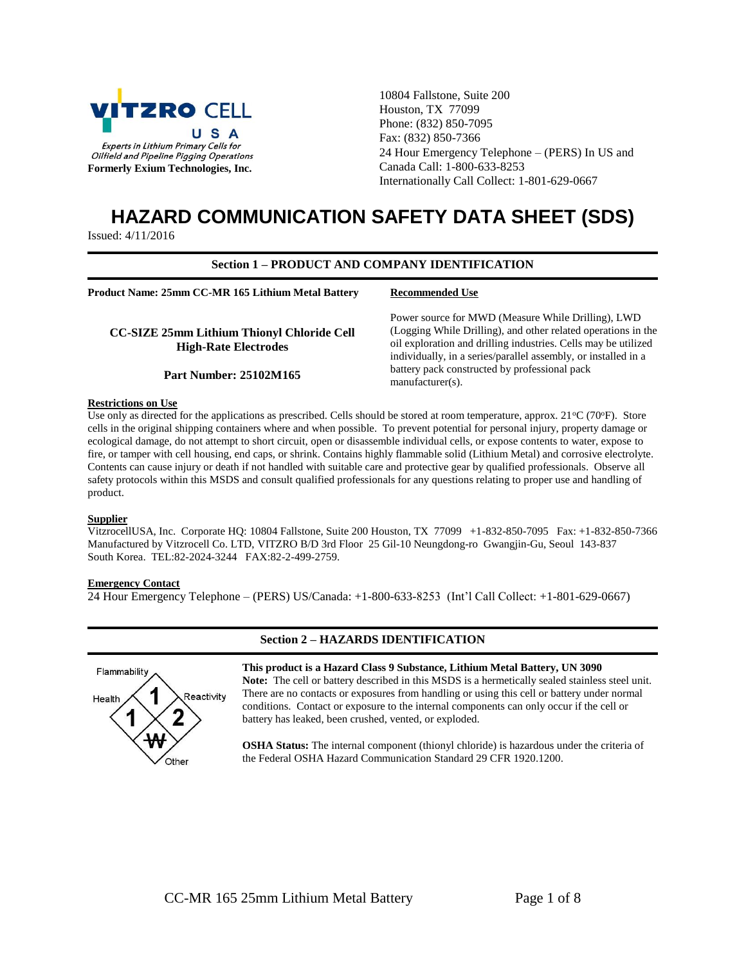

10804 Fallstone, Suite 200 Houston, TX 77099 Phone: (832) 850-7095 Fax: (832) 850-7366 24 Hour Emergency Telephone – (PERS) In US and Canada Call: 1-800-633-8253 Internationally Call Collect: 1-801-629-0667

Power source for MWD (Measure While Drilling), LWD (Logging While Drilling), and other related operations in the oil exploration and drilling industries. Cells may be utilized individually, in a series/parallel assembly, or installed in a

battery pack constructed by professional pack

# **HAZARD COMMUNICATION SAFETY DATA SHEET (SDS)**

Issued: 4/11/2016

## **Section 1 – PRODUCT AND COMPANY IDENTIFICATION**

**Recommended Use**

manufacturer(s).

**Product Name: 25mm CC-MR 165 Lithium Metal Battery**

**CC-SIZE 25mm Lithium Thionyl Chloride Cell High-Rate Electrodes**

#### **Part Number: 25102M165**

#### **Restrictions on Use**

Use only as directed for the applications as prescribed. Cells should be stored at room temperature, approx.  $21^{\circ}C(70^{\circ}F)$ . Store cells in the original shipping containers where and when possible. To prevent potential for personal injury, property damage or ecological damage, do not attempt to short circuit, open or disassemble individual cells, or expose contents to water, expose to fire, or tamper with cell housing, end caps, or shrink. Contains highly flammable solid (Lithium Metal) and corrosive electrolyte. Contents can cause injury or death if not handled with suitable care and protective gear by qualified professionals. Observe all safety protocols within this MSDS and consult qualified professionals for any questions relating to proper use and handling of product.

## **Supplier**

VitzrocellUSA, Inc. Corporate HQ: 10804 Fallstone, Suite 200 Houston, TX 77099 +1-832-850-7095 Fax: +1-832-850-7366 Manufactured by Vitzrocell Co. LTD, VITZRO B/D 3rd Floor 25 Gil-10 Neungdong-ro Gwangjin-Gu, Seoul 143-837 South Korea. TEL:82-2024-3244 FAX:82-2-499-2759.

#### **Emergency Contact**

24 Hour Emergency Telephone – (PERS) US/Canada: +1-800-633-8253 (Int'l Call Collect: +1-801-629-0667)



## **Section 2 – HAZARDS IDENTIFICATION**

**This product is a Hazard Class 9 Substance, Lithium Metal Battery, UN 3090 Note:** The cell or battery described in this MSDS is a hermetically sealed stainless steel unit. There are no contacts or exposures from handling or using this cell or battery under normal conditions. Contact or exposure to the internal components can only occur if the cell or battery has leaked, been crushed, vented, or exploded.

**OSHA Status:** The internal component (thionyl chloride) is hazardous under the criteria of the Federal OSHA Hazard Communication Standard 29 CFR 1920.1200.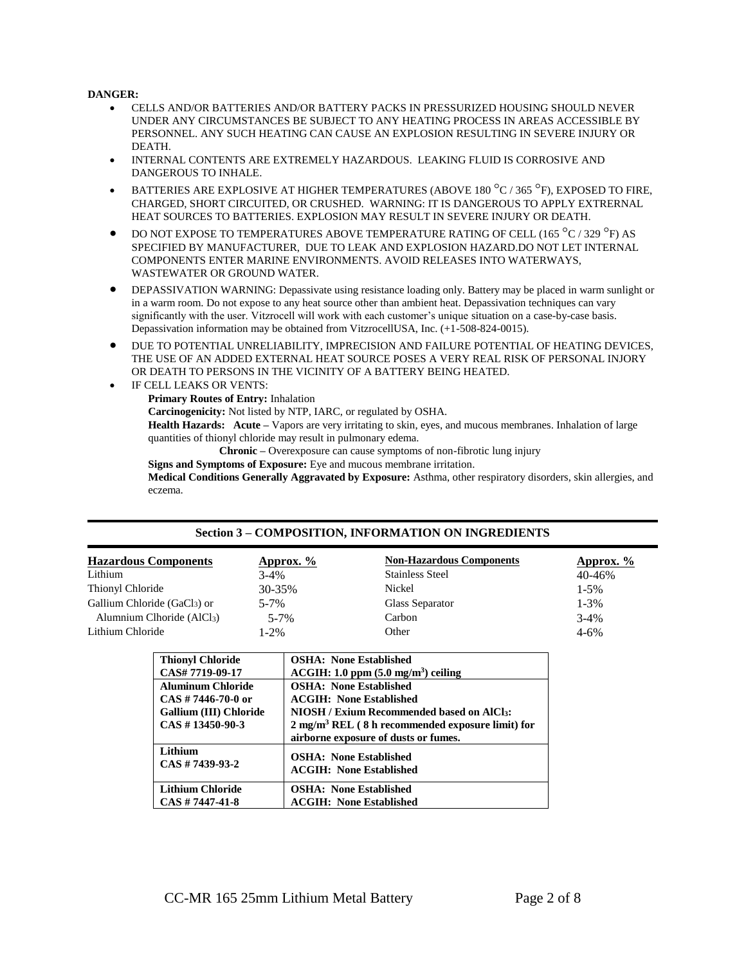## **DANGER:**

- CELLS AND/OR BATTERIES AND/OR BATTERY PACKS IN PRESSURIZED HOUSING SHOULD NEVER UNDER ANY CIRCUMSTANCES BE SUBJECT TO ANY HEATING PROCESS IN AREAS ACCESSIBLE BY PERSONNEL. ANY SUCH HEATING CAN CAUSE AN EXPLOSION RESULTING IN SEVERE INJURY OR DEATH.
- INTERNAL CONTENTS ARE EXTREMELY HAZARDOUS. LEAKING FLUID IS CORROSIVE AND DANGEROUS TO INHALE.
- BATTERIES ARE EXPLOSIVE AT HIGHER TEMPERATURES (ABOVE 180 °C / 365 °F), EXPOSED TO FIRE, CHARGED, SHORT CIRCUITED, OR CRUSHED. WARNING: IT IS DANGEROUS TO APPLY EXTRERNAL HEAT SOURCES TO BATTERIES. EXPLOSION MAY RESULT IN SEVERE INJURY OR DEATH.
- $\bullet$  DO NOT EXPOSE TO TEMPERATURES ABOVE TEMPERATURE RATING OF CELL (165  $^{\circ}$ C / 329  $^{\circ}$ F) AS SPECIFIED BY MANUFACTURER, DUE TO LEAK AND EXPLOSION HAZARD.DO NOT LET INTERNAL COMPONENTS ENTER MARINE ENVIRONMENTS. AVOID RELEASES INTO WATERWAYS, WASTEWATER OR GROUND WATER.
- DEPASSIVATION WARNING: Depassivate using resistance loading only. Battery may be placed in warm sunlight or in a warm room. Do not expose to any heat source other than ambient heat. Depassivation techniques can vary significantly with the user. Vitzrocell will work with each customer's unique situation on a case-by-case basis. Depassivation information may be obtained from VitzrocellUSA, Inc. (+1-508-824-0015).
- DUE TO POTENTIAL UNRELIABILITY, IMPRECISION AND FAILURE POTENTIAL OF HEATING DEVICES, THE USE OF AN ADDED EXTERNAL HEAT SOURCE POSES A VERY REAL RISK OF PERSONAL INJORY OR DEATH TO PERSONS IN THE VICINITY OF A BATTERY BEING HEATED.
- IF CELL LEAKS OR VENTS: **Primary Routes of Entry:** Inhalation **Carcinogenicity:** Not listed by NTP, IARC, or regulated by OSHA. **Health Hazards: Acute –** Vapors are very irritating to skin, eyes, and mucous membranes. Inhalation of large quantities of thionyl chloride may result in pulmonary edema. **Chronic –** Overexposure can cause symptoms of non-fibrotic lung injury

**Signs and Symptoms of Exposure:** Eye and mucous membrane irritation. **Medical Conditions Generally Aggravated by Exposure:** Asthma, other respiratory disorders, skin allergies, and eczema.

| <b>Hazardous Components</b> | Approx. $\frac{6}{6}$ | <b>Non-Hazardous Components</b> | <u>Approx. <math>\%</math></u> |
|-----------------------------|-----------------------|---------------------------------|--------------------------------|
| Lithium                     | $3-4%$                | <b>Stainless Steel</b>          | 40-46%                         |
| Thionyl Chloride            | $30 - 35\%$           | Nickel                          | $1 - 5\%$                      |
| Gallium Chloride (GaCl3) or | $5 - 7%$              | Glass Separator                 | $1 - 3\%$                      |
| Alumnium Clhoride $(AlCl3)$ | $5 - 7%$              | Carbon                          | $3 - 4\%$                      |
| Lithium Chloride            | $1-2\%$               | Other                           | $4 - 6\%$                      |

## **Section 3 – COMPOSITION, INFORMATION ON INGREDIENTS**

| <b>Thionyl Chloride</b>                                                                                | <b>OSHA: None Established</b>                                                                                                                                                                                              |
|--------------------------------------------------------------------------------------------------------|----------------------------------------------------------------------------------------------------------------------------------------------------------------------------------------------------------------------------|
| CAS#7719-09-17                                                                                         | $ACGIH: 1.0$ ppm $(5.0$ mg/m <sup>3</sup> ) ceiling                                                                                                                                                                        |
| <b>Aluminum Chloride</b><br>$CAS \# 7446-70-0$ or<br>Gallium (III) Chloride<br>$CAS \# 13450 - 90 - 3$ | <b>OSHA: None Established</b><br><b>ACGIH: None Established</b><br><b>NIOSH / Exium Recommended based on AICl3:</b><br>$2 \text{ mg/m}^3$ REL (8 h recommended exposure limit) for<br>airborne exposure of dusts or fumes. |
| Lithium                                                                                                | <b>OSHA: None Established</b>                                                                                                                                                                                              |
| $CAS \# 7439-93-2$                                                                                     | <b>ACGIH: None Established</b>                                                                                                                                                                                             |
| <b>Lithium Chloride</b>                                                                                | <b>OSHA: None Established</b>                                                                                                                                                                                              |
| $CAS \# 7447 - 41 - 8$                                                                                 | <b>ACGIH: None Established</b>                                                                                                                                                                                             |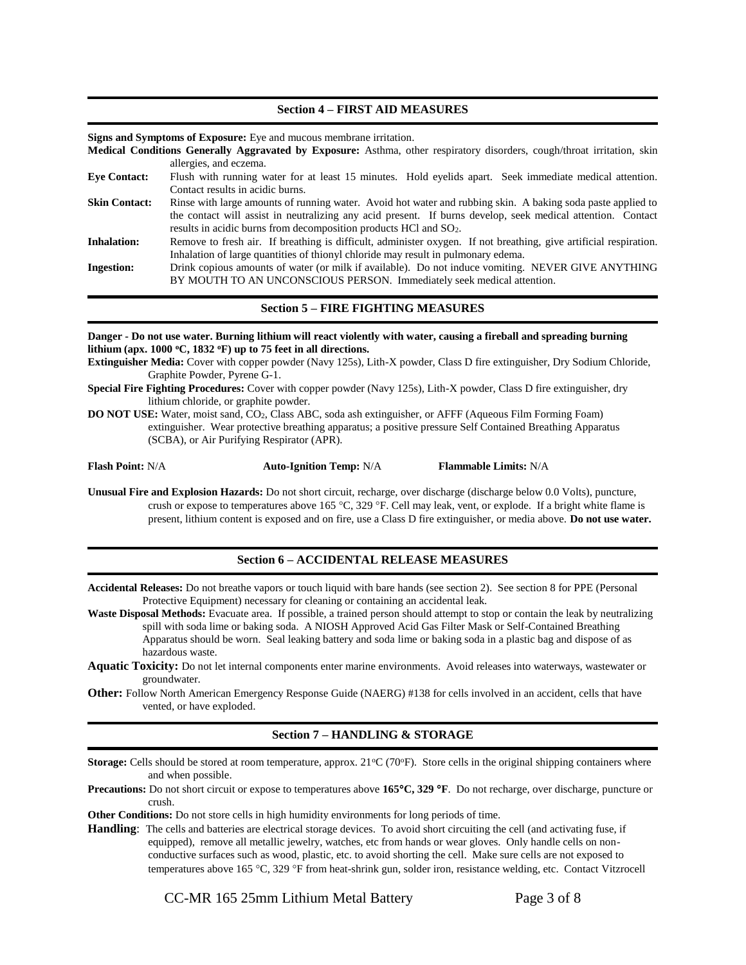#### **Section 4 – FIRST AID MEASURES**

**Signs and Symptoms of Exposure:** Eye and mucous membrane irritation.

**Medical Conditions Generally Aggravated by Exposure:** Asthma, other respiratory disorders, cough/throat irritation, skin allergies, and eczema.

- **Eye Contact:** Flush with running water for at least 15 minutes. Hold eyelids apart. Seek immediate medical attention. Contact results in acidic burns. **Skin Contact:** Rinse with large amounts of running water. Avoid hot water and rubbing skin. A baking soda paste applied to
- the contact will assist in neutralizing any acid present. If burns develop, seek medical attention. Contact results in acidic burns from decomposition products HCl and SO2.

**Inhalation:** Remove to fresh air. If breathing is difficult, administer oxygen. If not breathing, give artificial respiration. Inhalation of large quantities of thionyl chloride may result in pulmonary edema.

**Ingestion:** Drink copious amounts of water (or milk if available). Do not induce vomiting. NEVER GIVE ANYTHING BY MOUTH TO AN UNCONSCIOUS PERSON. Immediately seek medical attention.

#### **Section 5 – FIRE FIGHTING MEASURES**

**Danger - Do not use water. Burning lithium will react violently with water, causing a fireball and spreading burning lithium (apx. 1000 <sup>o</sup>C, 1832 <sup>o</sup>F) up to 75 feet in all directions.**

**Extinguisher Media:** Cover with copper powder (Navy 125s), Lith-X powder, Class D fire extinguisher, Dry Sodium Chloride, Graphite Powder, Pyrene G-1.

- **Special Fire Fighting Procedures:** Cover with copper powder (Navy 125s), Lith-X powder, Class D fire extinguisher, dry lithium chloride, or graphite powder.
- **DO NOT USE:** Water, moist sand, CO2, Class ABC, soda ash extinguisher, or AFFF (Aqueous Film Forming Foam) extinguisher. Wear protective breathing apparatus; a positive pressure Self Contained Breathing Apparatus (SCBA), or Air Purifying Respirator (APR).

**Flash Point:** N/A **Auto-Ignition Temp:** N/A **Flammable Limits:** N/A

**Unusual Fire and Explosion Hazards:** Do not short circuit, recharge, over discharge (discharge below 0.0 Volts), puncture, crush or expose to temperatures above  $165 \text{ °C}$ ,  $329 \text{ °F}$ . Cell may leak, vent, or explode. If a bright white flame is present, lithium content is exposed and on fire, use a Class D fire extinguisher, or media above. **Do not use water.**

## **Section 6 – ACCIDENTAL RELEASE MEASURES**

**Accidental Releases:** Do not breathe vapors or touch liquid with bare hands (see section 2). See section 8 for PPE (Personal Protective Equipment) necessary for cleaning or containing an accidental leak.

- Waste Disposal Methods: Evacuate area. If possible, a trained person should attempt to stop or contain the leak by neutralizing spill with soda lime or baking soda. A NIOSH Approved Acid Gas Filter Mask or Self-Contained Breathing Apparatus should be worn. Seal leaking battery and soda lime or baking soda in a plastic bag and dispose of as hazardous waste.
- **Aquatic Toxicity:** Do not let internal components enter marine environments. Avoid releases into waterways, wastewater or groundwater.
- **Other:** Follow North American Emergency Response Guide (NAERG) #138 for cells involved in an accident, cells that have vented, or have exploded.

## **Section 7 – HANDLING & STORAGE**

**Storage:** Cells should be stored at room temperature, approx. 21<sup>o</sup>C (70<sup>o</sup>F). Store cells in the original shipping containers where and when possible.

**Precautions:** Do not short circuit or expose to temperatures above **165C, 329 F**. Do not recharge, over discharge, puncture or crush.

**Other Conditions:** Do not store cells in high humidity environments for long periods of time.

**Handling**: The cells and batteries are electrical storage devices. To avoid short circuiting the cell (and activating fuse, if equipped), remove all metallic jewelry, watches, etc from hands or wear gloves. Only handle cells on nonconductive surfaces such as wood, plastic, etc. to avoid shorting the cell. Make sure cells are not exposed to temperatures above 165 °C, 329 °F from heat-shrink gun, solder iron, resistance welding, etc. Contact Vitzrocell

CC-MR 165 25mm Lithium Metal Battery Page 3 of 8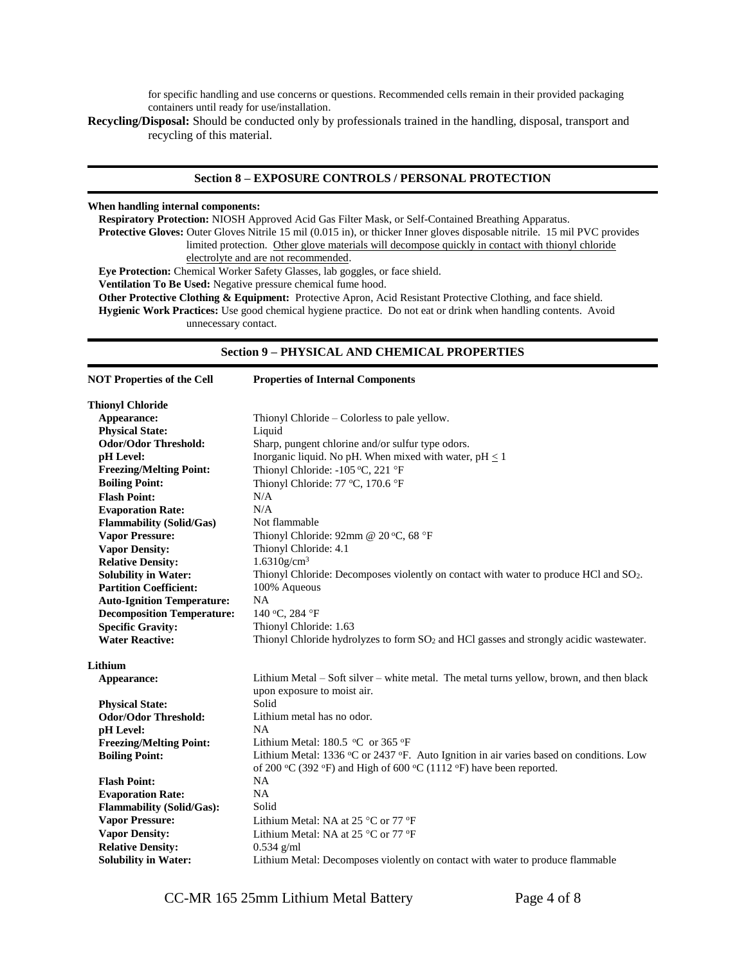for specific handling and use concerns or questions. Recommended cells remain in their provided packaging containers until ready for use/installation.

**Recycling/Disposal:** Should be conducted only by professionals trained in the handling, disposal, transport and recycling of this material.

## **Section 8 – EXPOSURE CONTROLS / PERSONAL PROTECTION**

#### **When handling internal components:**

**Respiratory Protection:** NIOSH Approved Acid Gas Filter Mask, or Self-Contained Breathing Apparatus. Protective Gloves: Outer Gloves Nitrile 15 mil (0.015 in), or thicker Inner gloves disposable nitrile. 15 mil PVC provides limited protection. Other glove materials will decompose quickly in contact with thionyl chloride electrolyte and are not recommended. **Eye Protection:** Chemical Worker Safety Glasses, lab goggles, or face shield.

**Ventilation To Be Used:** Negative pressure chemical fume hood.

**Other Protective Clothing & Equipment:** Protective Apron, Acid Resistant Protective Clothing, and face shield. **Hygienic Work Practices:** Use good chemical hygiene practice. Do not eat or drink when handling contents. Avoid unnecessary contact.

## **Section 9 – PHYSICAL AND CHEMICAL PROPERTIES**

| <b>NOT Properties of the Cell</b> | <b>Properties of Internal Components</b>                                                           |  |
|-----------------------------------|----------------------------------------------------------------------------------------------------|--|
| <b>Thionyl Chloride</b>           |                                                                                                    |  |
| Appearance:                       | Thionyl Chloride – Colorless to pale yellow.                                                       |  |
| <b>Physical State:</b>            | Liquid                                                                                             |  |
| <b>Odor/Odor Threshold:</b>       | Sharp, pungent chlorine and/or sulfur type odors.                                                  |  |
| pH Level:                         | Inorganic liquid. No pH. When mixed with water, $pH \leq 1$                                        |  |
| <b>Freezing/Melting Point:</b>    | Thionyl Chloride: -105 °C, 221 °F                                                                  |  |
| <b>Boiling Point:</b>             | Thionyl Chloride: 77 °C, 170.6 °F                                                                  |  |
| <b>Flash Point:</b>               | N/A                                                                                                |  |
| <b>Evaporation Rate:</b>          | N/A                                                                                                |  |
| <b>Flammability (Solid/Gas)</b>   | Not flammable                                                                                      |  |
| <b>Vapor Pressure:</b>            | Thionyl Chloride: 92mm @ 20 °C, 68 °F                                                              |  |
| <b>Vapor Density:</b>             | Thionyl Chloride: 4.1                                                                              |  |
| <b>Relative Density:</b>          | $1.6310$ g/cm <sup>3</sup>                                                                         |  |
| <b>Solubility in Water:</b>       | Thionyl Chloride: Decomposes violently on contact with water to produce HCl and SO <sub>2</sub> .  |  |
| <b>Partition Coefficient:</b>     | 100% Aqueous                                                                                       |  |
| <b>Auto-Ignition Temperature:</b> | <b>NA</b>                                                                                          |  |
| <b>Decomposition Temperature:</b> | 140 °C, 284 °F                                                                                     |  |
| <b>Specific Gravity:</b>          | Thionyl Chloride: 1.63                                                                             |  |
| <b>Water Reactive:</b>            | Thionyl Chloride hydrolyzes to form SO <sub>2</sub> and HCl gasses and strongly acidic wastewater. |  |
| Lithium                           |                                                                                                    |  |
| Appearance:                       | Lithium Metal – Soft silver – white metal. The metal turns yellow, brown, and then black           |  |
|                                   | upon exposure to moist air.                                                                        |  |
| <b>Physical State:</b>            | Solid                                                                                              |  |
| <b>Odor/Odor Threshold:</b>       | Lithium metal has no odor.                                                                         |  |
| pH Level:                         | NA                                                                                                 |  |
| <b>Freezing/Melting Point:</b>    | Lithium Metal: $180.5$ °C or 365 °F                                                                |  |
| <b>Boiling Point:</b>             | Lithium Metal: 1336 °C or 2437 °F. Auto Ignition in air varies based on conditions. Low            |  |
|                                   | of 200 °C (392 °F) and High of 600 °C (1112 °F) have been reported.                                |  |
| <b>Flash Point:</b>               | <b>NA</b>                                                                                          |  |
| <b>Evaporation Rate:</b>          | NA                                                                                                 |  |
| <b>Flammability (Solid/Gas):</b>  | Solid                                                                                              |  |
| <b>Vapor Pressure:</b>            | Lithium Metal: NA at 25 $^{\circ}$ C or 77 $^{\circ}$ F                                            |  |
| <b>Vapor Density:</b>             | Lithium Metal: NA at 25 $^{\circ}$ C or 77 $^{\circ}$ F                                            |  |
| <b>Relative Density:</b>          | $0.534$ g/ml                                                                                       |  |
| <b>Solubility in Water:</b>       | Lithium Metal: Decomposes violently on contact with water to produce flammable                     |  |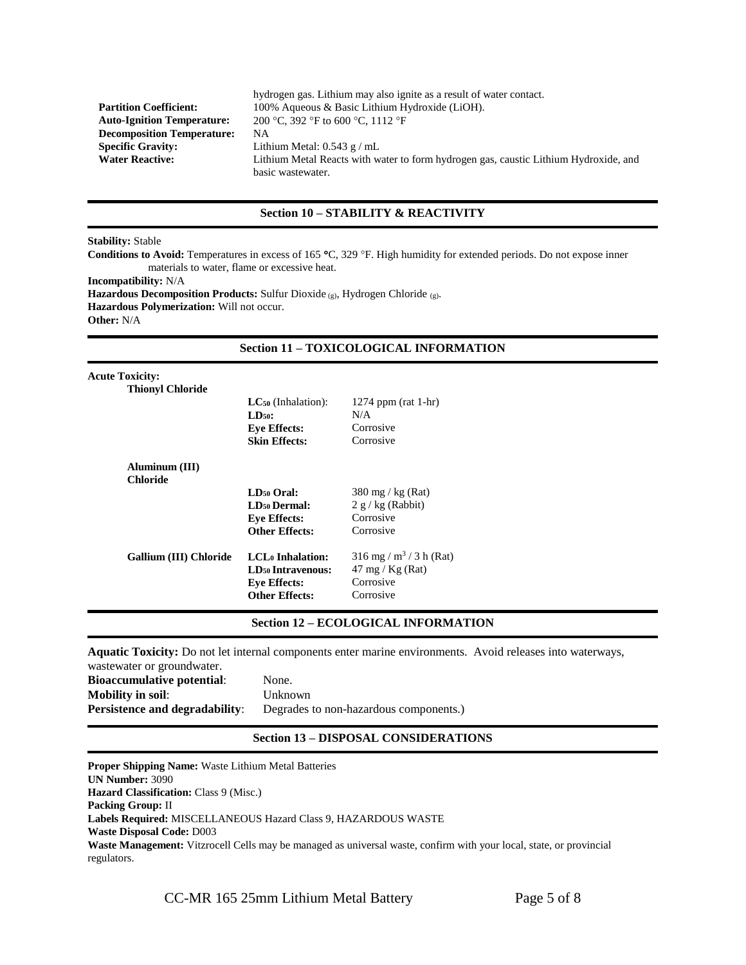|                                   | hydrogen gas. Lithium may also ignite as a result of water contact.                  |
|-----------------------------------|--------------------------------------------------------------------------------------|
| <b>Partition Coefficient:</b>     | 100% Aqueous & Basic Lithium Hydroxide (LiOH).                                       |
| <b>Auto-Ignition Temperature:</b> | 200 °C, 392 °F to 600 °C, 1112 °F                                                    |
| <b>Decomposition Temperature:</b> | NА                                                                                   |
| <b>Specific Gravity:</b>          | Lithium Metal: $0.543$ g / mL                                                        |
| <b>Water Reactive:</b>            | Lithium Metal Reacts with water to form hydrogen gas, caustic Lithium Hydroxide, and |
|                                   | basic wastewater.                                                                    |

## **Section 10 – STABILITY & REACTIVITY**

#### **Stability:** Stable

Conditions to Avoid: Temperatures in excess of 165 °C, 329 °F. High humidity for extended periods. Do not expose inner materials to water, flame or excessive heat.

**Incompatibility:** N/A

**Hazardous Decomposition Products:** Sulfur Dioxide (g), Hydrogen Chloride (g). **Hazardous Polymerization:** Will not occur.

**Other:** N/A

## **Section 11 – TOXICOLOGICAL INFORMATION**

| <b>Acute Toxicity:</b>        |                                     |                                       |
|-------------------------------|-------------------------------------|---------------------------------------|
| <b>Thionyl Chloride</b>       |                                     |                                       |
|                               | $LC_{50}$ (Inhalation):             | 1274 ppm (rat 1-hr)                   |
|                               | $LD50$ :                            | N/A                                   |
|                               | <b>Eye Effects:</b>                 | Corrosive                             |
|                               | <b>Skin Effects:</b>                | Corrosive                             |
| Aluminum (III)                |                                     |                                       |
| Chloride                      |                                     |                                       |
|                               | LD <sub>50</sub> Oral:              | $380 \text{ mg}$ / kg (Rat)           |
|                               | <b>LD<sub>50</sub></b> Dermal:      | $2 g/kg$ (Rabbit)                     |
|                               | <b>Eye Effects:</b>                 | Corrosive                             |
|                               | Other Effects:                      | Corrosive                             |
| <b>Gallium (III) Chloride</b> | LCL <sub>0</sub> Inhalation:        | $316$ mg / m <sup>3</sup> / 3 h (Rat) |
|                               | <b>LD<sub>50</sub></b> Intravenous: | $47 \text{ mg} / \text{Kg}$ (Rat)     |
|                               | <b>Eye Effects:</b>                 | Corrosive                             |
|                               | Other Effects:                      | Corrosive                             |
|                               |                                     |                                       |

## **Section 12 – ECOLOGICAL INFORMATION**

**Aquatic Toxicity:** Do not let internal components enter marine environments. Avoid releases into waterways, wastewater or groundwater.

| $m$ able $m$ alen on $\mathbb{R}$ roand $m$ alen. |                                        |
|---------------------------------------------------|----------------------------------------|
| <b>Bioaccumulative potential:</b>                 | None.                                  |
| <b>Mobility in soil:</b>                          | Unknown                                |
| <b>Persistence and degradability:</b>             | Degrades to non-hazardous components.) |
|                                                   |                                        |

# **Section 13 – DISPOSAL CONSIDERATIONS**

**Proper Shipping Name:** Waste Lithium Metal Batteries **UN Number:** 3090 **Hazard Classification: Class 9 (Misc.) Packing Group:** II **Labels Required:** MISCELLANEOUS Hazard Class 9, HAZARDOUS WASTE **Waste Disposal Code:** D003 **Waste Management:** Vitzrocell Cells may be managed as universal waste, confirm with your local, state, or provincial regulators.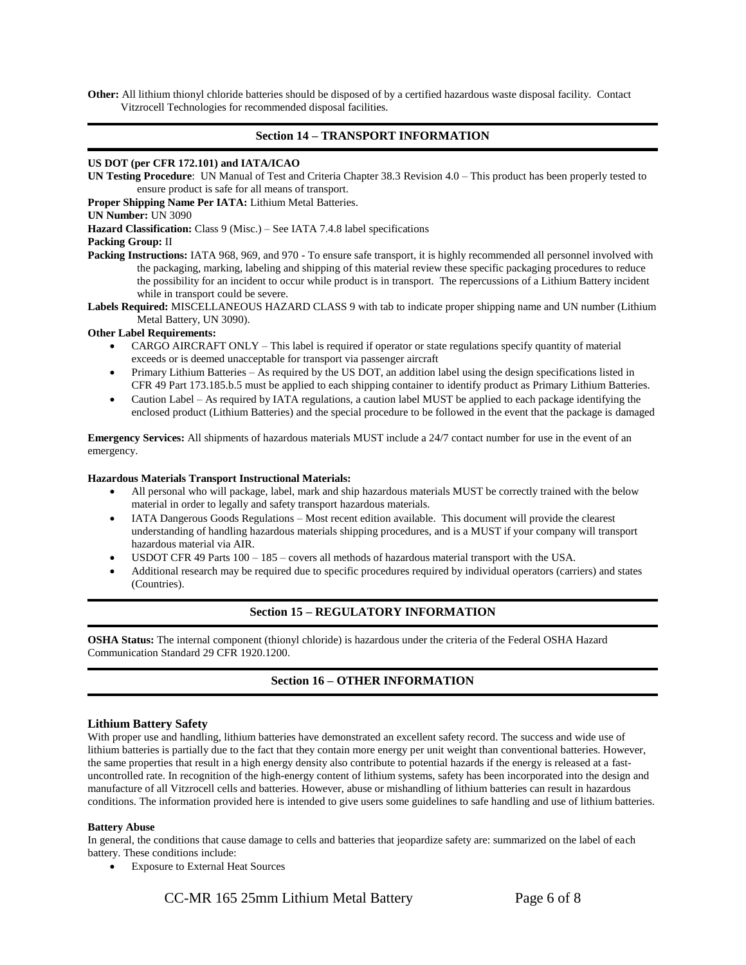**Other:** All lithium thionyl chloride batteries should be disposed of by a certified hazardous waste disposal facility. Contact Vitzrocell Technologies for recommended disposal facilities.

## **Section 14 – TRANSPORT INFORMATION**

#### **US DOT (per CFR 172.101) and IATA/ICAO**

**UN Testing Procedure**: UN Manual of Test and Criteria Chapter 38.3 Revision 4.0 – This product has been properly tested to ensure product is safe for all means of transport.

**Proper Shipping Name Per IATA:** Lithium Metal Batteries.

**UN Number:** UN 3090

**Hazard Classification:** Class 9 (Misc.) – See IATA 7.4.8 label specifications

#### **Packing Group:** II

Packing Instructions: IATA 968, 969, and 970 - To ensure safe transport, it is highly recommended all personnel involved with the packaging, marking, labeling and shipping of this material review these specific packaging procedures to reduce the possibility for an incident to occur while product is in transport. The repercussions of a Lithium Battery incident while in transport could be severe.

**Labels Required:** MISCELLANEOUS HAZARD CLASS 9 with tab to indicate proper shipping name and UN number (Lithium Metal Battery, UN 3090).

#### **Other Label Requirements:**

- CARGO AIRCRAFT ONLY This label is required if operator or state regulations specify quantity of material exceeds or is deemed unacceptable for transport via passenger aircraft
- Primary Lithium Batteries As required by the US DOT, an addition label using the design specifications listed in CFR 49 Part 173.185.b.5 must be applied to each shipping container to identify product as Primary Lithium Batteries.
- Caution Label As required by IATA regulations, a caution label MUST be applied to each package identifying the enclosed product (Lithium Batteries) and the special procedure to be followed in the event that the package is damaged

**Emergency Services:** All shipments of hazardous materials MUST include a 24/7 contact number for use in the event of an emergency.

#### **Hazardous Materials Transport Instructional Materials:**

- All personal who will package, label, mark and ship hazardous materials MUST be correctly trained with the below material in order to legally and safety transport hazardous materials.
- IATA Dangerous Goods Regulations Most recent edition available. This document will provide the clearest understanding of handling hazardous materials shipping procedures, and is a MUST if your company will transport hazardous material via AIR.
- USDOT CFR 49 Parts 100 185 covers all methods of hazardous material transport with the USA.
- Additional research may be required due to specific procedures required by individual operators (carriers) and states (Countries).

#### **Section 15 – REGULATORY INFORMATION**

**OSHA Status:** The internal component (thionyl chloride) is hazardous under the criteria of the Federal OSHA Hazard Communication Standard 29 CFR 1920.1200.

## **Section 16 – OTHER INFORMATION**

#### **Lithium Battery Safety**

With proper use and handling, lithium batteries have demonstrated an excellent safety record. The success and wide use of lithium batteries is partially due to the fact that they contain more energy per unit weight than conventional batteries. However, the same properties that result in a high energy density also contribute to potential hazards if the energy is released at a fastuncontrolled rate. In recognition of the high-energy content of lithium systems, safety has been incorporated into the design and manufacture of all Vitzrocell cells and batteries. However, abuse or mishandling of lithium batteries can result in hazardous conditions. The information provided here is intended to give users some guidelines to safe handling and use of lithium batteries.

#### **Battery Abuse**

In general, the conditions that cause damage to cells and batteries that jeopardize safety are: summarized on the label of each battery. These conditions include:

Exposure to External Heat Sources

CC-MR 165 25mm Lithium Metal Battery Page 6 of 8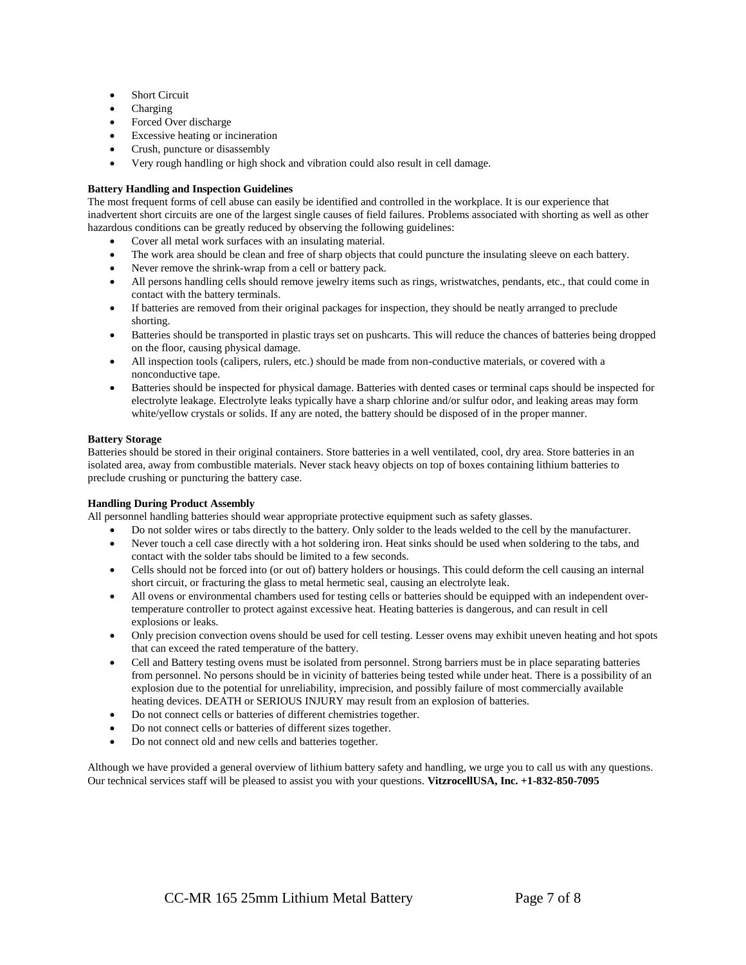- Short Circuit
- Charging
- Forced Over discharge
- Excessive heating or incineration
- Crush, puncture or disassembly
- Very rough handling or high shock and vibration could also result in cell damage.

#### **Battery Handling and Inspection Guidelines**

The most frequent forms of cell abuse can easily be identified and controlled in the workplace. It is our experience that inadvertent short circuits are one of the largest single causes of field failures. Problems associated with shorting as well as other hazardous conditions can be greatly reduced by observing the following guidelines:

- Cover all metal work surfaces with an insulating material.
- The work area should be clean and free of sharp objects that could puncture the insulating sleeve on each battery.
- Never remove the shrink-wrap from a cell or battery pack.
- All persons handling cells should remove jewelry items such as rings, wristwatches, pendants, etc., that could come in contact with the battery terminals.
- If batteries are removed from their original packages for inspection, they should be neatly arranged to preclude shorting.
- Batteries should be transported in plastic trays set on pushcarts. This will reduce the chances of batteries being dropped on the floor, causing physical damage.
- All inspection tools (calipers, rulers, etc.) should be made from non-conductive materials, or covered with a nonconductive tape.
- Batteries should be inspected for physical damage. Batteries with dented cases or terminal caps should be inspected for electrolyte leakage. Electrolyte leaks typically have a sharp chlorine and/or sulfur odor, and leaking areas may form white/yellow crystals or solids. If any are noted, the battery should be disposed of in the proper manner.

#### **Battery Storage**

Batteries should be stored in their original containers. Store batteries in a well ventilated, cool, dry area. Store batteries in an isolated area, away from combustible materials. Never stack heavy objects on top of boxes containing lithium batteries to preclude crushing or puncturing the battery case.

#### **Handling During Product Assembly**

All personnel handling batteries should wear appropriate protective equipment such as safety glasses.

- Do not solder wires or tabs directly to the battery. Only solder to the leads welded to the cell by the manufacturer.
- Never touch a cell case directly with a hot soldering iron. Heat sinks should be used when soldering to the tabs, and contact with the solder tabs should be limited to a few seconds.
- Cells should not be forced into (or out of) battery holders or housings. This could deform the cell causing an internal short circuit, or fracturing the glass to metal hermetic seal, causing an electrolyte leak.
- All ovens or environmental chambers used for testing cells or batteries should be equipped with an independent overtemperature controller to protect against excessive heat. Heating batteries is dangerous, and can result in cell explosions or leaks.
- Only precision convection ovens should be used for cell testing. Lesser ovens may exhibit uneven heating and hot spots that can exceed the rated temperature of the battery.
- Cell and Battery testing ovens must be isolated from personnel. Strong barriers must be in place separating batteries from personnel. No persons should be in vicinity of batteries being tested while under heat. There is a possibility of an explosion due to the potential for unreliability, imprecision, and possibly failure of most commercially available heating devices. DEATH or SERIOUS INJURY may result from an explosion of batteries.
- Do not connect cells or batteries of different chemistries together.
- Do not connect cells or batteries of different sizes together.
- Do not connect old and new cells and batteries together.

Although we have provided a general overview of lithium battery safety and handling, we urge you to call us with any questions. Our technical services staff will be pleased to assist you with your questions. **VitzrocellUSA, Inc. +1-832-850-7095**